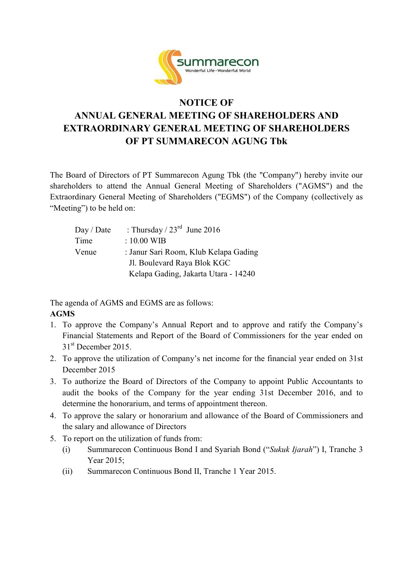

## **NOTICE OF ANNUAL GENERAL MEETING OF SHAREHOLDERS AND EXTRAORDINARY GENERAL MEETING OF SHAREHOLDERS OF PT SUMMARECON AGUNG Tbk**

The Board of Directors of PT Summarecon Agung Tbk (the "Company") hereby invite our shareholders to attend the Annual General Meeting of Shareholders ("AGMS") and the Extraordinary General Meeting of Shareholders ("EGMS") of the Company (collectively as "Meeting") to be held on:

| Day / Date | : Thursday / $23^{\text{rd}}$ June 2016 |
|------------|-----------------------------------------|
| Time       | $: 10.00$ WIB                           |
| Venue      | : Janur Sari Room, Klub Kelapa Gading   |
|            | Jl. Boulevard Raya Blok KGC             |
|            | Kelapa Gading, Jakarta Utara - 14240    |

The agenda of AGMS and EGMS are as follows: **AGMS** 

- 1. To approve the Company's Annual Report and to approve and ratify the Company's Financial Statements and Report of the Board of Commissioners for the year ended on 31<sup>st</sup> December 2015.
- 2. To approve the utilization of Company's net income for the financial year ended on 31st December 2015
- 3. To authorize the Board of Directors of the Company to appoint Public Accountants to audit the books of the Company for the year ending 31st December 2016, and to determine the honorarium, and terms of appointment thereon.
- 4. To approve the salary or honorarium and allowance of the Board of Commissioners and the salary and allowance of Directors
- 5. To report on the utilization of funds from:
	- (i) Summarecon Continuous Bond I and Syariah Bond ("*Sukuk Ijarah*") I, Tranche 3 Year 2015;
	- (ii) Summarecon Continuous Bond II, Tranche 1 Year 2015.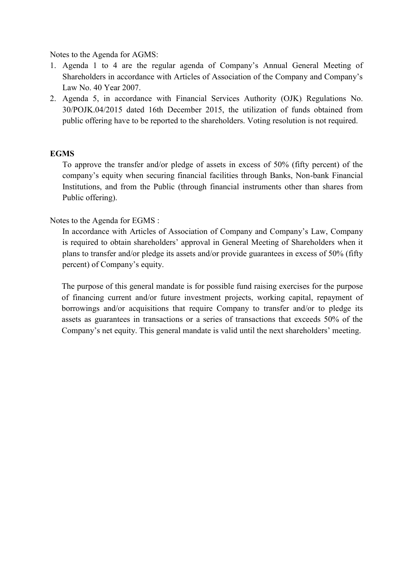Notes to the Agenda for AGMS:

- 1. Agenda 1 to 4 are the regular agenda of Company's Annual General Meeting of Shareholders in accordance with Articles of Association of the Company and Company's Law No. 40 Year 2007.
- 2. Agenda 5, in accordance with Financial Services Authority (OJK) Regulations No. 30/POJK.04/2015 dated 16th December 2015, the utilization of funds obtained from public offering have to be reported to the shareholders. Voting resolution is not required.

## **EGMS**

To approve the transfer and/or pledge of assets in excess of 50% (fifty percent) of the company's equity when securing financial facilities through Banks, Non-bank Financial Institutions, and from the Public (through financial instruments other than shares from Public offering).

## Notes to the Agenda for EGMS :

In accordance with Articles of Association of Company and Company's Law, Company is required to obtain shareholders' approval in General Meeting of Shareholders when it plans to transfer and/or pledge its assets and/or provide guarantees in excess of 50% (fifty percent) of Company's equity.

The purpose of this general mandate is for possible fund raising exercises for the purpose of financing current and/or future investment projects, working capital, repayment of borrowings and/or acquisitions that require Company to transfer and/or to pledge its assets as guarantees in transactions or a series of transactions that exceeds 50% of the Company's net equity. This general mandate is valid until the next shareholders' meeting.